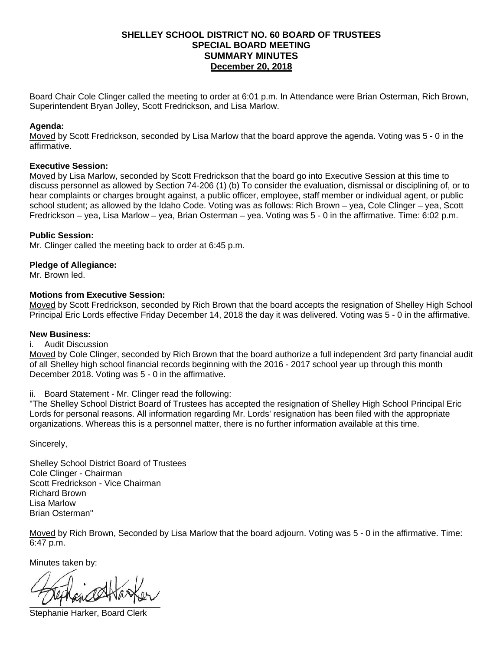# **SPECIAL BOARD MEETING December 20, 2018 SHELLEY SCHOOL DISTRICT NO. 60 BOARD OF TRUSTEES SUMMARY MINUTES**

Board Chair Cole Clinger called the meeting to order at 6:01 p.m. In Attendance were Brian Osterman, Rich Brown, Superintendent Bryan Jolley, Scott Fredrickson, and Lisa Marlow.

## **Agenda:**

 Moved by Scott Fredrickson, seconded by Lisa Marlow that the board approve the agenda. Voting was 5 - 0 in the affirmative.

### **Executive Session:**

 Fredrickson – yea, Lisa Marlow – yea, Brian Osterman – yea. Voting was 5 - 0 in the affirmative. Time: 6:02 p.m. Moved by Lisa Marlow, seconded by Scott Fredrickson that the board go into Executive Session at this time to discuss personnel as allowed by Section 74-206 (1) (b) To consider the evaluation, dismissal or disciplining of, or to hear complaints or charges brought against, a public officer, employee, staff member or individual agent, or public school student; as allowed by the Idaho Code. Voting was as follows: Rich Brown – yea, Cole Clinger – yea, Scott

### **Public Session:**

Mr. Clinger called the meeting back to order at 6:45 p.m.

### **Pledge of Allegiance:**

Mr. Brown led.

### **Motions from Executive Session:**

 Principal Eric Lords effective Friday December 14, 2018 the day it was delivered. Voting was 5 - 0 in the affirmative. Moved by Scott Fredrickson, seconded by Rich Brown that the board accepts the resignation of Shelley High School

#### **New Business:**

#### **Audit Discussion**

 December 2018. Voting was 5 - 0 in the affirmative. i. Audit Discussion<br>Moved by Cole Clinger, seconded by Rich Brown that the board authorize a full independent 3rd party financial audit of all Shelley high school financial records beginning with the 2016 - 2017 school year up through this month

## ii. Board Statement - Mr. Clinger read the following:

 "The Shelley School District Board of Trustees has accepted the resignation of Shelley High School Principal Eric Lords for personal reasons. All information regarding Mr. Lords' resignation has been filed with the appropriate organizations. Whereas this is a personnel matter, there is no further information available at this time.

Sincerely,

 Cole Clinger - Chairman Shelley School District Board of Trustees Scott Fredrickson - Vice Chairman Richard Brown Lisa Marlow Brian Osterman"

 Moved by Rich Brown, Seconded by Lisa Marlow that the board adjourn. Voting was 5 - 0 in the affirmative. Time: 6:47 p.m.

Minutes taken by:

Stephanie Harker, Board Clerk